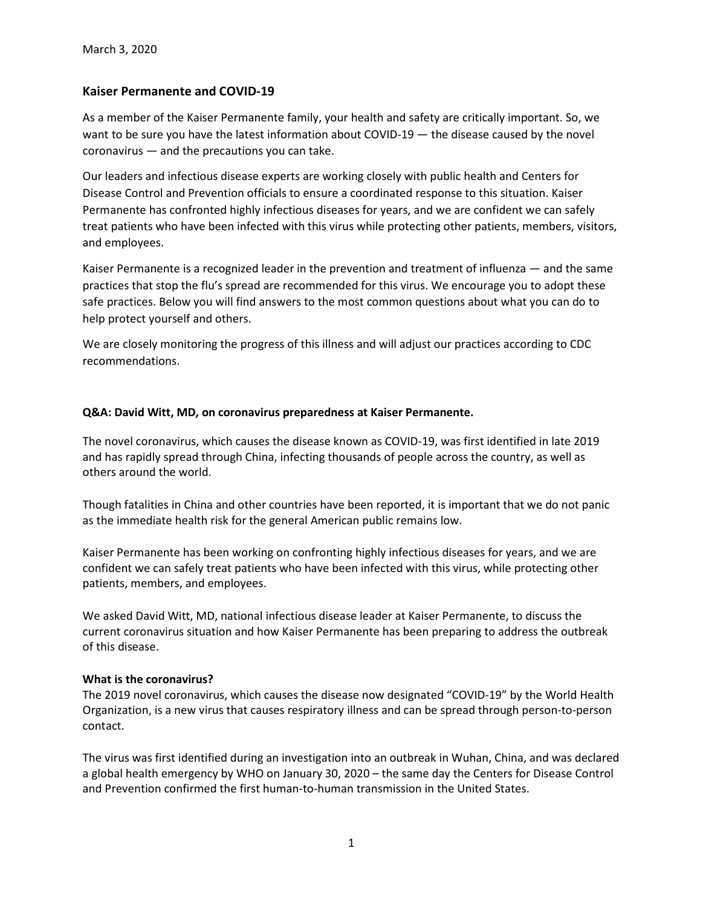# **Kaiser Permanente and COVID-19**

As a member of the Kaiser Permanente family, your health and safety are critically important. So, we want to be sure you have the latest information about COVID-19 — the disease caused by the novel coronavirus — and the precautions you can take.

Our leaders and infectious disease experts are working closely with public health and Centers for Disease Control and Prevention officials to ensure a coordinated response to this situation. Kaiser Permanente has confronted highly infectious diseases for years, and we are confident we can safely treat patients who have been infected with this virus while protecting other patients, members, visitors, and employees.

Kaiser Permanente is a recognized leader in the prevention and treatment of influenza — and the same practices that stop the flu's spread are recommended for this virus. We encourage you to adopt these safe practices. Below you will find answers to the most common questions about what you can do to help protect yourself and others.

We are closely monitoring the progress of this illness and will adjust our practices according to CDC recommendations.

## **Q&A: David Witt, MD, on coronavirus preparedness at Kaiser Permanente.**

The novel coronavirus, which causes the disease known as COVID-19, was first identified in late 2019 and has rapidly spread through China, infecting thousands of people across the country, as well as others around the world.

Though fatalities in China and other countries have been reported, it is important that we do not panic as the immediate health risk for the general American public remains low.

Kaiser Permanente has been working on confronting highly infectious diseases for years, and we are confident we can safely treat patients who have been infected with this virus, while protecting other patients, members, and employees.

We asked David Witt, MD, national infectious disease leader at Kaiser Permanente, to discuss the current coronavirus situation and how Kaiser Permanente has been preparing to address the outbreak of this disease.

## **What is the coronavirus?**

The 2019 novel coronavirus, which causes the disease now designated "COVID-19" by the World Health Organization, is a new virus that causes respiratory illness and can be spread through person-to-person contact.

The virus was first identified during an investigation into an outbreak in Wuhan, China, and was declared a global health emergency by WHO on January 30, 2020 – the same day the Centers for Disease Control and Prevention confirmed the first human-to-human transmission in the United States.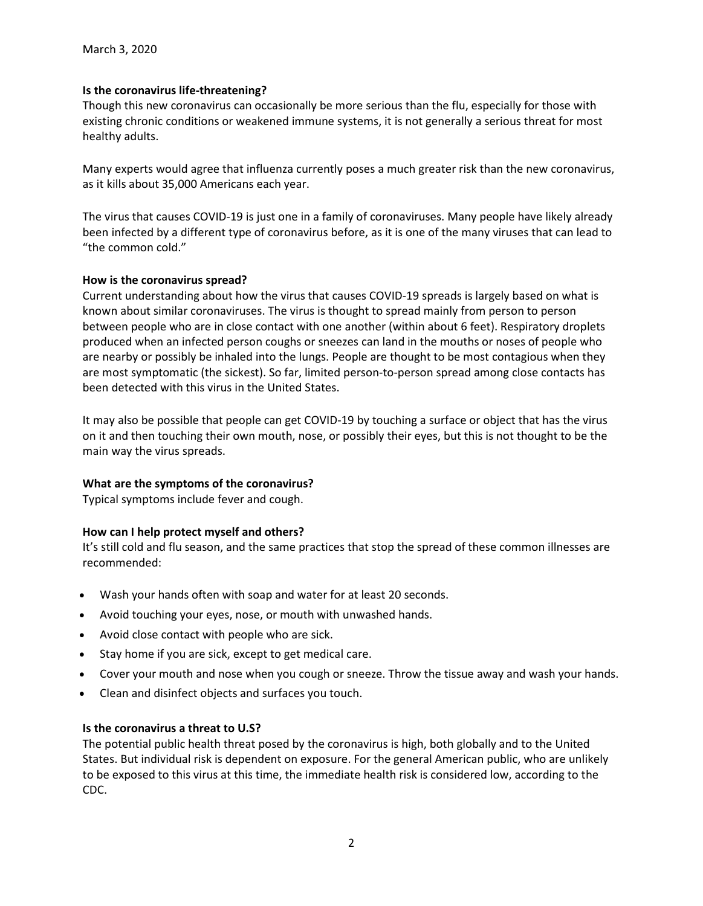## **Is the coronavirus life-threatening?**

Though this new coronavirus can occasionally be more serious than the flu, especially for those with existing chronic conditions or weakened immune systems, it is not generally a serious threat for most healthy adults.

Many experts would agree that influenza currently poses a much greater risk than the new coronavirus, as it kills about 35,000 Americans each year.

The virus that causes COVID-19 is just one in a family of coronaviruses. Many people have likely already been infected by a different type of coronavirus before, as it is one of the many viruses that can lead to "the common cold."

## **How is the coronavirus spread?**

Current understanding about how the virus that causes COVID-19 spreads is largely based on what is known about similar coronaviruses. The virus is thought to spread mainly from person to person between people who are in close contact with one another (within about 6 feet). Respiratory droplets produced when an infected person coughs or sneezes can land in the mouths or noses of people who are nearby or possibly be inhaled into the lungs. People are thought to be most contagious when they are most symptomatic (the sickest). So far, limited person-to-person spread among close contacts has been detected with this virus in the United States.

It may also be possible that people can get COVID-19 by touching a surface or object that has the virus on it and then touching their own mouth, nose, or possibly their eyes, but this is not thought to be the main way the virus spreads.

## **What are the symptoms of the coronavirus?**

Typical symptoms include fever and cough.

## **How can I help protect myself and others?**

It's still cold and flu season, and the same practices that stop the spread of these common illnesses are recommended:

- Wash your hands often with soap and water for at least 20 seconds.
- Avoid touching your eyes, nose, or mouth with unwashed hands.
- Avoid close contact with people who are sick.
- Stay home if you are sick, except to get medical care.
- Cover your mouth and nose when you cough or sneeze. Throw the tissue away and wash your hands.
- Clean and disinfect objects and surfaces you touch.

## **Is the coronavirus a threat to U.S?**

The potential public health threat posed by the coronavirus is high, both globally and to the United States. But individual risk is dependent on exposure. For the general American public, who are unlikely to be exposed to this virus at this time, the immediate health risk is considered low, according to the CDC.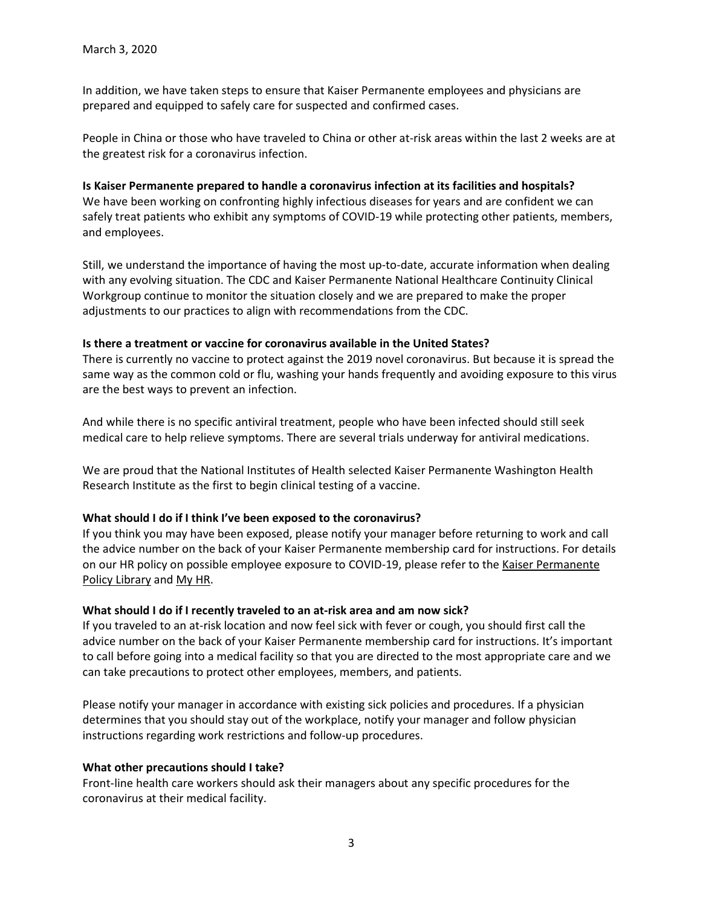In addition, we have taken steps to ensure that Kaiser Permanente employees and physicians are prepared and equipped to safely care for suspected and confirmed cases.

People in China or those who have traveled to China or other at-risk areas within the last 2 weeks are at the greatest risk for a coronavirus infection.

#### **Is Kaiser Permanente prepared to handle a coronavirus infection at its facilities and hospitals?**

We have been working on confronting highly infectious diseases for years and are confident we can safely treat patients who exhibit any symptoms of COVID-19 while protecting other patients, members, and employees.

Still, we understand the importance of having the most up-to-date, accurate information when dealing with any evolving situation. The CDC and Kaiser Permanente National Healthcare Continuity Clinical Workgroup continue to monitor the situation closely and we are prepared to make the proper adjustments to our practices to align with recommendations from the CDC.

#### **Is there a treatment or vaccine for coronavirus available in the United States?**

There is currently no vaccine to protect against the 2019 novel coronavirus. But because it is spread the same way as the common cold or flu, washing your hands frequently and avoiding exposure to this virus are the best ways to prevent an infection.

And while there is no specific antiviral treatment, people who have been infected should still seek medical care to help relieve symptoms. There are several trials underway for antiviral medications.

We are proud that the National Institutes of Health selected Kaiser Permanente Washington Health Research Institute as the first to begin clinical testing of a vaccine.

## **What should I do if I think I've been exposed to the coronavirus?**

If you think you may have been exposed, please notify your manager before returning to work and call the advice number on the back of your Kaiser Permanente membership card for instructions. For details on our HR policy on possible employee exposure to COVID-19, please refer to th[e Kaiser Permanente](https://kpnational.policytech.com/)  [Policy Library](https://kpnational.policytech.com/) and [My HR.](https://epf.kp.org/wps/wcm/myconnect/580d9064-d5f9-4db6-a118-4c66a29f5680/53ExposureNovelCoronavirusFAQs.pdf)

## **What should I do if I recently traveled to an at-risk area and am now sick?**

If you traveled to an at-risk location and now feel sick with fever or cough, you should first call the advice number on the back of your Kaiser Permanente membership card for instructions. It's important to call before going into a medical facility so that you are directed to the most appropriate care and we can take precautions to protect other employees, members, and patients.

Please notify your manager in accordance with existing sick policies and procedures. If a physician determines that you should stay out of the workplace, notify your manager and follow physician instructions regarding work restrictions and follow-up procedures.

## **What other precautions should I take?**

Front-line health care workers should ask their managers about any specific procedures for the coronavirus at their medical facility.